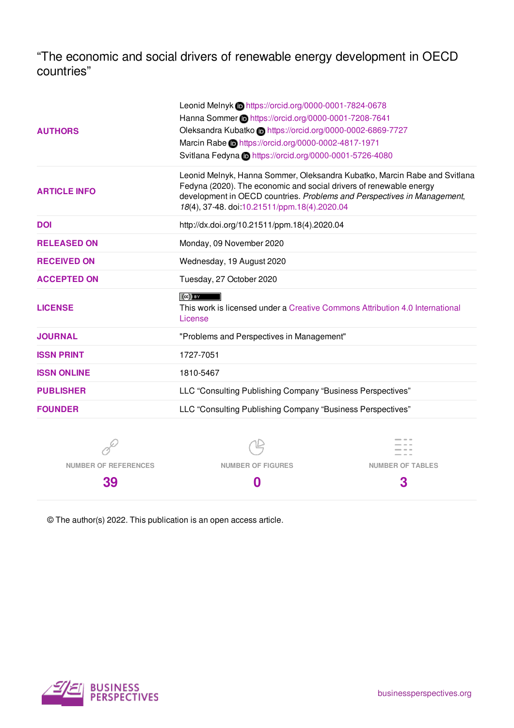"The economic and social drivers of renewable energy development in OECD countries"

|                                                                              | Leonid Melnyk Chttps://orcid.org/0000-0001-7824-0678                                                                                                                                                                                                                       |                                                           |  |  |  |  |
|------------------------------------------------------------------------------|----------------------------------------------------------------------------------------------------------------------------------------------------------------------------------------------------------------------------------------------------------------------------|-----------------------------------------------------------|--|--|--|--|
|                                                                              | Hanna Sommer in https://orcid.org/0000-0001-7208-7641                                                                                                                                                                                                                      |                                                           |  |  |  |  |
| <b>AUTHORS</b>                                                               |                                                                                                                                                                                                                                                                            | Oleksandra Kubatko Dhttps://orcid.org/0000-0002-6869-7727 |  |  |  |  |
|                                                                              | Marcin Rabe the https://orcid.org/0000-0002-4817-1971                                                                                                                                                                                                                      |                                                           |  |  |  |  |
|                                                                              | Svitlana Fedyna Chttps://orcid.org/0000-0001-5726-4080                                                                                                                                                                                                                     |                                                           |  |  |  |  |
| <b>ARTICLE INFO</b>                                                          | Leonid Melnyk, Hanna Sommer, Oleksandra Kubatko, Marcin Rabe and Svitlana<br>Fedyna (2020). The economic and social drivers of renewable energy<br>development in OECD countries. Problems and Perspectives in Management,<br>18(4), 37-48. doi:10.21511/ppm.18(4).2020.04 |                                                           |  |  |  |  |
| <b>DOI</b>                                                                   |                                                                                                                                                                                                                                                                            | http://dx.doi.org/10.21511/ppm.18(4).2020.04              |  |  |  |  |
| <b>RELEASED ON</b>                                                           | Monday, 09 November 2020                                                                                                                                                                                                                                                   |                                                           |  |  |  |  |
| <b>RECEIVED ON</b>                                                           | Wednesday, 19 August 2020                                                                                                                                                                                                                                                  |                                                           |  |  |  |  |
| <b>ACCEPTED ON</b>                                                           | Tuesday, 27 October 2020                                                                                                                                                                                                                                                   |                                                           |  |  |  |  |
| <b>LICENSE</b>                                                               | $\left(\mathrm{cc}\right)$ by<br>This work is licensed under a Creative Commons Attribution 4.0 International<br>License                                                                                                                                                   |                                                           |  |  |  |  |
| <b>JOURNAL</b>                                                               | "Problems and Perspectives in Management"                                                                                                                                                                                                                                  |                                                           |  |  |  |  |
| <b>ISSN PRINT</b>                                                            | 1727-7051                                                                                                                                                                                                                                                                  |                                                           |  |  |  |  |
| <b>ISSN ONLINE</b>                                                           | 1810-5467                                                                                                                                                                                                                                                                  |                                                           |  |  |  |  |
| <b>PUBLISHER</b>                                                             | LLC "Consulting Publishing Company "Business Perspectives"                                                                                                                                                                                                                 |                                                           |  |  |  |  |
| LLC "Consulting Publishing Company "Business Perspectives"<br><b>FOUNDER</b> |                                                                                                                                                                                                                                                                            |                                                           |  |  |  |  |
|                                                                              |                                                                                                                                                                                                                                                                            |                                                           |  |  |  |  |
| <b>NUMBER OF REFERENCES</b>                                                  | <b>NUMBER OF FIGURES</b>                                                                                                                                                                                                                                                   | <b>NUMBER OF TABLES</b>                                   |  |  |  |  |

**0**

© The author(s) 2022. This publication is an open access article.



**39**

**3**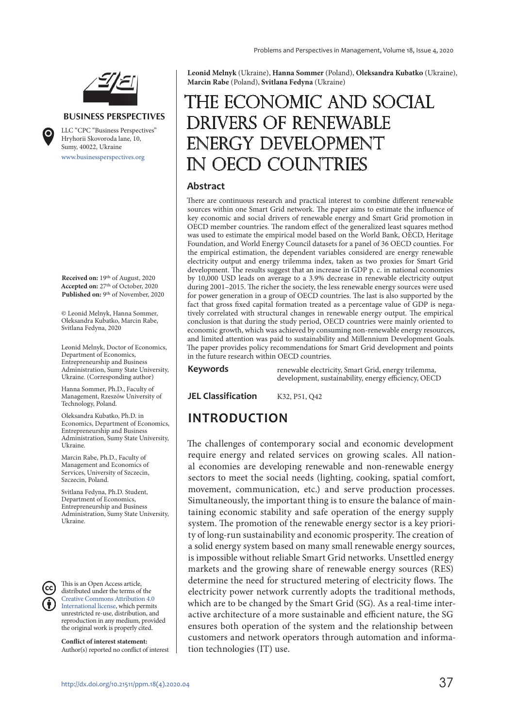

#### **BUSINESS PERSPECTIVES**

www.businessperspectives.org LLC "СPС "Business Perspectives" Hryhorii Skovoroda lane, 10, Sumy, 40022, Ukraine

**Received on:** 19th of August, 2020 **Accepted on:** 27th of October, 2020 **Published on:** 9th of November, 2020

© Leonid Melnyk, Hanna Sommer, Oleksandra Kubatko, Marcin Rabe, Svitlana Fedyna, 2020

Leonid Melnyk, Doctor of Economics, Department of Economics, Entrepreneurship and Business Administration, Sumy State University, Ukraine. (Corresponding author)

Hanna Sommer, Ph.D., Faculty of Management, Rzeszów University of Technology, Poland.

Oleksandra Kubatko, Ph.D. in Economics, Department of Economics, Entrepreneurship and Business Administration, Sumy State University, Ukraine.

Marcin Rabe, Ph.D., Faculty of Management and Economics of Services, University of Szczecin, Szczecin, Poland.

Svitlana Fedyna, Ph.D. Student, Department of Economics, Entrepreneurship and Business Administration, Sumy State University, Ukraine.

This is an Open Access article, distributed under the terms of the Creative Commons Attribution 4.0 International license, which permits unrestricted re-use, distribution, and reproduction in any medium, provided the original work is properly cited.

**Conflict of interest statement:**  Author(s) reported no conflict of interest **Leonid Melnyk** (Ukraine), **Hanna Sommer** (Poland), **Oleksandra Kubatko** (Ukraine), **Marcin Rabe** (Poland), **Svitlana Fedyna** (Ukraine)

# THE ECONOMIC AND SOCIAL drivers of renewable energy development in OECD countries

#### **Abstract**

There are continuous research and practical interest to combine different renewable sources within one Smart Grid network. The paper aims to estimate the influence of key economic and social drivers of renewable energy and Smart Grid promotion in OECD member countries. The random effect of the generalized least squares method was used to estimate the empirical model based on the World Bank, OECD, Heritage Foundation, and World Energy Council datasets for a panel of 36 OECD counties. For the empirical estimation, the dependent variables considered are energy renewable electricity output and energy trilemma index, taken as two proxies for Smart Grid development. The results suggest that an increase in GDP p. c. in national economies by 10,000 USD leads on average to a 3.9% decrease in renewable electricity output during 2001–2015. The richer the society, the less renewable energy sources were used for power generation in a group of OECD countries. The last is also supported by the fact that gross fixed capital formation treated as a percentage value of GDP is negatively correlated with structural changes in renewable energy output. The empirical conclusion is that during the study period, OECD countries were mainly oriented to economic growth, which was achieved by consuming non-renewable energy resources, and limited attention was paid to sustainability and Millennium Development Goals. The paper provides policy recommendations for Smart Grid development and points in the future research within OECD countries.

**Keywords** renewable electricity, Smart Grid, energy trilemma, development, sustainability, energy efficiency, OECD

**JEL Classification** K32, P51, Q42

#### **INTRODUCTION**

The challenges of contemporary social and economic development require energy and related services on growing scales. All national economies are developing renewable and non-renewable energy sectors to meet the social needs (lighting, cooking, spatial comfort, movement, communication, etc.) and serve production processes. Simultaneously, the important thing is to ensure the balance of maintaining economic stability and safe operation of the energy supply system. The promotion of the renewable energy sector is a key priority of long-run sustainability and economic prosperity. The creation of a solid energy system based on many small renewable energy sources, is impossible without reliable Smart Grid networks. Unsettled energy markets and the growing share of renewable energy sources (RES) determine the need for structured metering of electricity flows. The electricity power network currently adopts the traditional methods, which are to be changed by the Smart Grid (SG). As a real-time interactive architecture of a more sustainable and efficient nature, the SG ensures both operation of the system and the relationship between customers and network operators through automation and information technologies (IT) use.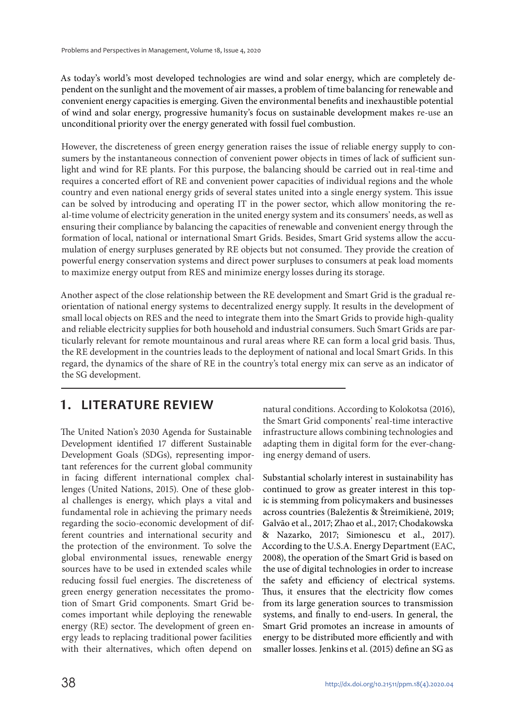As today's world's most developed technologies are wind and solar energy, which are completely dependent on the sunlight and the movement of air masses, a problem of time balancing for renewable and convenient energy capacities is emerging. Given the environmental benefits and inexhaustible potential of wind and solar energy, progressive humanity's focus on sustainable development makes re-use an unconditional priority over the energy generated with fossil fuel combustion.

However, the discreteness of green energy generation raises the issue of reliable energy supply to consumers by the instantaneous connection of convenient power objects in times of lack of sufficient sunlight and wind for RE plants. For this purpose, the balancing should be carried out in real-time and requires a concerted effort of RE and convenient power capacities of individual regions and the whole country and even national energy grids of several states united into a single energy system. This issue can be solved by introducing and operating IT in the power sector, which allow monitoring the real-time volume of electricity generation in the united energy system and its consumers' needs, as well as ensuring their compliance by balancing the capacities of renewable and convenient energy through the formation of local, national or international Smart Grids. Besides, Smart Grid systems allow the accumulation of energy surpluses generated by RE objects but not consumed. They provide the creation of powerful energy conservation systems and direct power surpluses to consumers at peak load moments to maximize energy output from RES and minimize energy losses during its storage.

Another aspect of the close relationship between the RE development and Smart Grid is the gradual reorientation of national energy systems to decentralized energy supply. It results in the development of small local objects on RES and the need to integrate them into the Smart Grids to provide high-quality and reliable electricity supplies for both household and industrial consumers. Such Smart Grids are particularly relevant for remote mountainous and rural areas where RE can form a local grid basis. Thus, the RE development in the countries leads to the deployment of national and local Smart Grids. In this regard, the dynamics of the share of RE in the country's total energy mix can serve as an indicator of the SG development.

# **1. LITERATURE REVIEW**

The United Nation's 2030 Agenda for Sustainable Development identified 17 different Sustainable Development Goals (SDGs), representing important references for the current global community in facing different international complex challenges (United Nations, 2015). One of these global challenges is energy, which plays a vital and fundamental role in achieving the primary needs regarding the socio-economic development of different countries and international security and the protection of the environment. To solve the global environmental issues, renewable energy sources have to be used in extended scales while reducing fossil fuel energies. The discreteness of green energy generation necessitates the promotion of Smart Grid components. Smart Grid becomes important while deploying the renewable energy (RE) sector. The development of green energy leads to replacing traditional power facilities with their alternatives, which often depend on

natural conditions. According to Kolokotsa (2016), the Smart Grid components' real-time interactive infrastructure allows combining technologies and adapting them in digital form for the ever-changing energy demand of users.

Substantial scholarly interest in sustainability has continued to grow as greater interest in this topic is stemming from policymakers and businesses across countries (Baležentis & Štreimikienė, 2019; Galvão et al., 2017; Zhao et al., 2017; Chodakowska & Nazarko, 2017; Simionescu et al., 2017). According to the U.S.А. Energy Department (EAC, 2008), the operation of the Smart Grid is based on the use of digital technologies in order to increase the safety and efficiency of electrical systems. Thus, it ensures that the electricity flow comes from its large generation sources to transmission systems, and finally to end-users. In general, the Smart Grid promotes an increase in amounts of energy to be distributed more efficiently and with smaller losses. Jenkins et al. (2015) define an SG as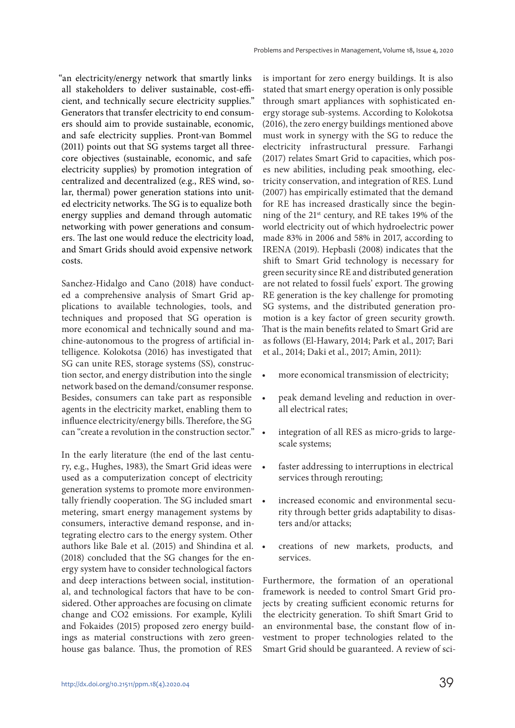"an electricity/energy network that smartly links all stakeholders to deliver sustainable, cost-efficient, and technically secure electricity supplies." Generators that transfer electricity to end consumers should aim to provide sustainable, economic, and safe electricity supplies. Pront-van Bommel (2011) points out that SG systems target all threecore objectives (sustainable, economic, and safe electricity supplies) by promotion integration of centralized and decentralized (e.g., RES wind, solar, thermal) power generation stations into united electricity networks. The SG is to equalize both energy supplies and demand through automatic networking with power generations and consumers. The last one would reduce the electricity load, and Smart Grids should avoid expensive network costs.

Sanchez-Hidalgo and Cano (2018) have conducted a comprehensive analysis of Smart Grid applications to available technologies, tools, and techniques and proposed that SG operation is more economical and technically sound and machine-autonomous to the progress of artificial intelligence. Kolokotsa (2016) has investigated that SG can unite RES, storage systems (SS), construction sector, and energy distribution into the single network based on the demand/consumer response. Besides, consumers can take part as responsible agents in the electricity market, enabling them to influence electricity/energy bills. Therefore, the SG can "create a revolution in the construction sector."

In the early literature (the end of the last century, e.g., Hughes, 1983), the Smart Grid ideas were used as a computerization concept of electricity generation systems to promote more environmentally friendly cooperation. The SG included smart . metering, smart energy management systems by consumers, interactive demand response, and integrating electro cars to the energy system. Other authors like Bale et al. (2015) and Shindina et al. (2018) concluded that the SG changes for the energy system have to consider technological factors and deep interactions between social, institutional, and technological factors that have to be considered. Other approaches are focusing on climate change and CO2 emissions. For example, Kylili and Fokaides (2015) proposed zero energy buildings as material constructions with zero greenhouse gas balance. Thus, the promotion of RES

is important for zero energy buildings. It is also stated that smart energy operation is only possible through smart appliances with sophisticated energy storage sub-systems. According to Kolokotsa (2016), the zero energy buildings mentioned above must work in synergy with the SG to reduce the electricity infrastructural pressure. Farhangi (2017) relates Smart Grid to capacities, which poses new abilities, including peak smoothing, electricity conservation, and integration of RES. Lund (2007) has empirically estimated that the demand for RE has increased drastically since the beginning of the 21st century, and RE takes 19% of the world electricity out of which hydroelectric power made 83% in 2006 and 58% in 2017, according to IRENA (2019). Hepbasli (2008) indicates that the shift to Smart Grid technology is necessary for green security since RE and distributed generation are not related to fossil fuels' export. The growing RE generation is the key challenge for promoting SG systems, and the distributed generation promotion is a key factor of green security growth. That is the main benefits related to Smart Grid are as follows (El-Hawary, 2014; Park et al., 2017; Bari et al., 2014; Daki et al., 2017; Amin, 2011):

- more economical transmission of electricity;
- peak demand leveling and reduction in overall electrical rates;
- integration of all RES as micro-grids to largescale systems;
- faster addressing to interruptions in electrical services through rerouting;
- increased economic and environmental security through better grids adaptability to disasters and/or attacks;
- creations of new markets, products, and services.

Furthermore, the formation of an operational framework is needed to control Smart Grid projects by creating sufficient economic returns for the electricity generation. To shift Smart Grid to an environmental base, the constant flow of investment to proper technologies related to the Smart Grid should be guaranteed. A review of sci-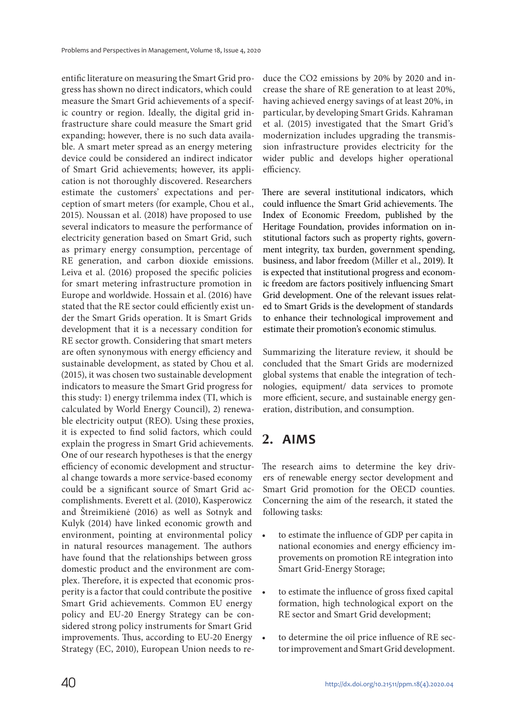entific literature on measuring the Smart Grid progress has shown no direct indicators, which could measure the Smart Grid achievements of a specific country or region. Ideally, the digital grid infrastructure share could measure the Smart grid expanding; however, there is no such data available. A smart meter spread as an energy metering device could be considered an indirect indicator of Smart Grid achievements; however, its application is not thoroughly discovered. Researchers estimate the customers' expectations and perception of smart meters (for example, Chou et al., 2015). Noussan et al. (2018) have proposed to use several indicators to measure the performance of electricity generation based on Smart Grid, such as primary energy consumption, percentage of RE generation, and carbon dioxide emissions. Leiva et al. (2016) proposed the specific policies for smart metering infrastructure promotion in Europe and worldwide. Hossain et al. (2016) have stated that the RE sector could efficiently exist under the Smart Grids operation. It is Smart Grids development that it is a necessary condition for RE sector growth. Considering that smart meters are often synonymous with energy efficiency and sustainable development, as stated by Chou et al. (2015), it was chosen two sustainable development indicators to measure the Smart Grid progress for this study: 1) energy trilemma index (TI, which is calculated by World Energy Council), 2) renewable electricity output (REO). Using these proxies, it is expected to find solid factors, which could explain the progress in Smart Grid achievements. One of our research hypotheses is that the energy efficiency of economic development and structural change towards a more service-based economy could be a significant source of Smart Grid accomplishments. Everett et al. (2010), Kasperowicz and Štreimikienė (2016) as well as Sotnyk and Kulyk (2014) have linked economic growth and environment, pointing at environmental policy in natural resources management. The authors have found that the relationships between gross domestic product and the environment are complex. Therefore, it is expected that economic prosperity is a factor that could contribute the positive Smart Grid achievements. Common EU energy policy and EU-20 Energy Strategy can be considered strong policy instruments for Smart Grid improvements. Thus, according to EU-20 Energy Strategy (EC, 2010), European Union needs to reduce the CO2 emissions by 20% by 2020 and increase the share of RE generation to at least 20%, having achieved energy savings of at least 20%, in particular, by developing Smart Grids. Kahraman et al. (2015) investigated that the Smart Grid's modernization includes upgrading the transmission infrastructure provides electricity for the wider public and develops higher operational efficiency.

There are several institutional indicators, which could influence the Smart Grid achievements. The Index of Economic Freedom, published by the Heritage Foundation, provides information on institutional factors such as property rights, government integrity, tax burden, government spending, business, and labor freedom (Miller et al., 2019). It is expected that institutional progress and economic freedom are factors positively influencing Smart Grid development. One of the relevant issues related to Smart Grids is the development of standards to enhance their technological improvement and estimate their promotion's economic stimulus.

Summarizing the literature review, it should be concluded that the Smart Grids are modernized global systems that enable the integration of technologies, equipment/ data services to promote more efficient, secure, and sustainable energy generation, distribution, and consumption.

# **2. AIMS**

The research aims to determine the key drivers of renewable energy sector development and Smart Grid promotion for the OECD counties. Concerning the aim of the research, it stated the following tasks:

- to estimate the influence of GDP per capita in national economies and energy efficiency improvements on promotion RE integration into Smart Grid-Energy Storage;
- to estimate the influence of gross fixed capital formation, high technological export on the RE sector and Smart Grid development;
- to determine the oil price influence of RE sector improvement and Smart Grid development.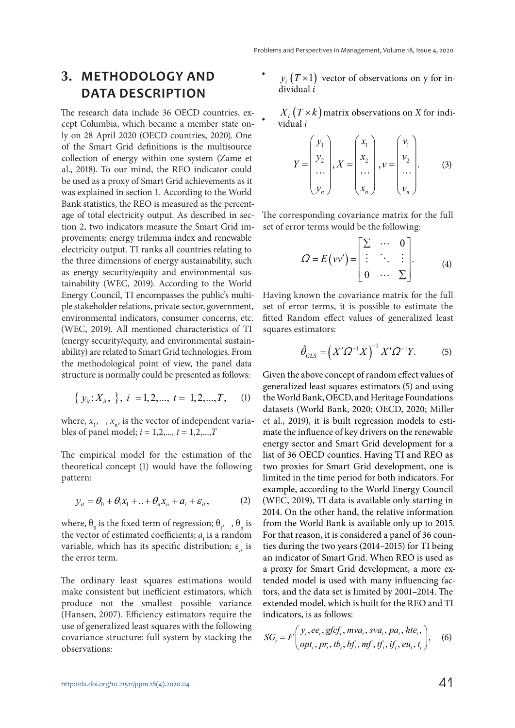#### **3. METHODOLOGY AND DATA DESCRIPTION**

The research data include 36 OECD countries, except Columbia, which became a member state only on 28 April 2020 (OECD countries, 2020). One of the Smart Grid definitions is the multisource collection of energy within one system (Zame et al., 2018). To our mind, the REO indicator could be used as a proxy of Smart Grid achievements as it was explained in section 1. According to the World Bank statistics, the REO is measured as the percentage of total electricity output. As described in section 2, two indicators measure the Smart Grid improvements: energy trilemma index and renewable electricity output. TI ranks all countries relating to the three dimensions of energy sustainability, such as energy security/equity and environmental sustainability (WEC, 2019). According to the World Energy Council, TI encompasses the public's multiple stakeholder relations, private sector, government, environmental indicators, consumer concerns, etc. (WEC, 2019). All mentioned characteristics of TI (energy security/equity, and environmental sustainability) are related to Smart Grid technologies. From the methodological point of view, the panel data structure is normally could be presented as follows:

$$
\{y_{ii}; X_{ii}, \}, i = 1, 2, \dots, t = 1, 2, \dots, T, (1)
$$

where,  $x_1$ ,  $x_n$ , is the vector of independent variables of panel model;  $i = 1, 2, ..., t = 1, 2, ..., T$ 

The empirical model for the estimation of the theoretical concept (1) would have the following pattern:

$$
y_{it} = \theta_0 + \theta_1 x_1 + \ldots + \theta_n x_n + a_i + \varepsilon_{it}, \qquad (2)
$$

where,  $\theta_0$  is the fixed term of regression;  $\theta_1$ , ,  $\theta_n$  is the vector of estimated coefficients;  $a<sub>i</sub>$  is a random variable, which has its specific distribution;  $\varepsilon_{it}$  is the error term.

The ordinary least squares estimations would make consistent but inefficient estimators, which produce not the smallest possible variance (Hansen, 2007). Efficiency estimators require the use of generalized least squares with the following covariance structure: full system by stacking the observations:

•  $y_i(T\times 1)$  vector of observations on y for individual i

 $X_i$   $(T \times k)$  matrix observations on X for individual i

•

$$
Y = \begin{pmatrix} y_1 \\ y_2 \\ \dots \\ y_n \end{pmatrix}, X = \begin{pmatrix} x_1 \\ x_2 \\ \dots \\ x_n \end{pmatrix}, v = \begin{pmatrix} v_1 \\ v_2 \\ \dots \\ v_n \end{pmatrix}.
$$
 (3)

The corresponding covariance matrix for the full set of error terms would be the following:

$$
\varOmega = E(vv') = \begin{bmatrix} \Sigma & \cdots & 0 \\ \vdots & \ddots & \vdots \\ 0 & \cdots & \Sigma \end{bmatrix}.
$$
 (4)

Having known the covariance matrix for the full set of error terms, it is possible to estimate the fitted Random effect values of generalized least squares estimators:

$$
\hat{\theta}_{GLS} = \left(X'\Omega^{-1}X\right)^{-1}X'\Omega^{-1}Y. \tag{5}
$$

Given the above concept of random effect values of generalized least squares estimators (5) and using the World Bank, OECD, and Heritage Foundations datasets (World Bank, 2020; OECD, 2020; Miller et al., 2019), it is built regression models to estimate the influence of key drivers on the renewable energy sector and Smart Grid development for a list of 36 OECD counties. Having TI and REO as two proxies for Smart Grid development, one is limited in the time period for both indicators. For example, according to the World Energy Council (WEC, 2019), TI data is available only starting in 2014. On the other hand, the relative information from the World Bank is available only up to 2015. For that reason, it is considered a panel of 36 counties during the two years (2014–2015) for TI being an indicator of Smart Grid. When REO is used as a proxy for Smart Grid development, a more extended model is used with many influencing factors, and the data set is limited by 2001–2014. The extended model, which is built for the REO and TI indicators, is as follows:

$$
SG_{i} = F\left(\begin{matrix} y_{i}, ee_{i}, gfcf_{i}, mva_{i}, sva_{i}, pa_{i}, hte_{i}, \\ opt_{i}, pr_{i}, tb_{i}, bf_{i}, mf, tf_{i}, if_{i}, eu_{i}, t_{i} \end{matrix}\right),
$$
 (6)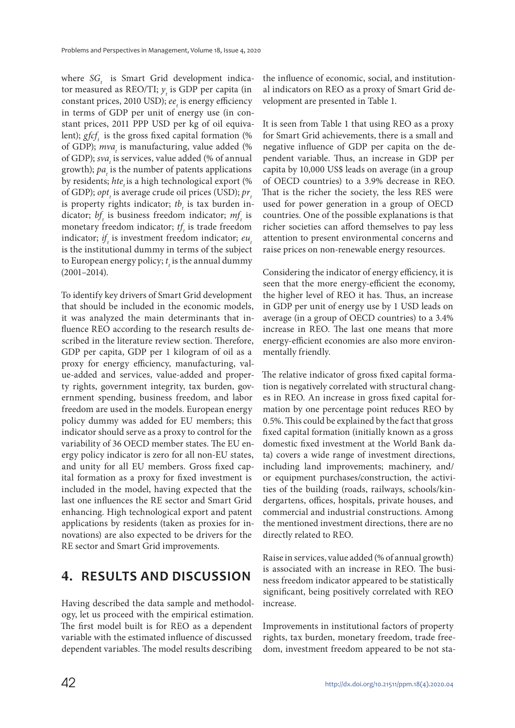where  $SG$ , is Smart Grid development indicator measured as REO/TI;  $y_t$  is GDP per capita (in constant prices, 2010 USD);  $ee$ <sub>t</sub> is energy efficiency in terms of GDP per unit of energy use (in constant prices, 2011 PPP USD per kg of oil equivalent);  $gfcf$  is the gross fixed capital formation (%) of GDP);  $mva_t$  is manufacturing, value added (% of GDP);  $sva_t$  is services, value added (% of annual growth);  $pa_t$  is the number of patents applications by residents; hte is a high technological export (% of GDP);  $opt<sub>t</sub>$  is average crude oil prices (USD);  $pr<sub>t</sub>$ is property rights indicator;  $tb<sub>t</sub>$  is tax burden indicator;  $bf_t$  is business freedom indicator;  $mf_t$  is monetary freedom indicator;  $tf_t$  is trade freedom indicator;  $if<sub>t</sub>$  is investment freedom indicator;  $eu<sub>t</sub>$ is the institutional dummy in terms of the subject to European energy policy;  $t_i$  is the annual dummy (2001–2014).

To identify key drivers of Smart Grid development that should be included in the economic models, it was analyzed the main determinants that influence REO according to the research results described in the literature review section. Therefore, GDP per capita, GDP per 1 kilogram of oil as a proxy for energy efficiency, manufacturing, value-added and services, value-added and property rights, government integrity, tax burden, government spending, business freedom, and labor freedom are used in the models. European energy policy dummy was added for EU members; this indicator should serve as a proxy to control for the variability of 36 OECD member states. The EU energy policy indicator is zero for all non-EU states, and unity for all EU members. Gross fixed capital formation as a proxy for fixed investment is included in the model, having expected that the last one influences the RE sector and Smart Grid enhancing. High technological export and patent applications by residents (taken as proxies for innovations) are also expected to be drivers for the RE sector and Smart Grid improvements.

# **4. RESULTS AND DISCUSSION**

Having described the data sample and methodology, let us proceed with the empirical estimation. The first model built is for REO as a dependent variable with the estimated influence of discussed dependent variables. The model results describing

the influence of economic, social, and institutional indicators on REO as a proxy of Smart Grid development are presented in Table 1.

It is seen from Table 1 that using REO as a proxy for Smart Grid achievements, there is a small and negative influence of GDP per capita on the dependent variable. Thus, an increase in GDP per capita by 10,000 US\$ leads on average (in a group of OECD countries) to a 3.9% decrease in REO. That is the richer the society, the less RES were used for power generation in a group of OECD countries. One of the possible explanations is that richer societies can afford themselves to pay less attention to present environmental concerns and raise prices on non-renewable energy resources.

Considering the indicator of energy efficiency, it is seen that the more energy-efficient the economy, the higher level of REO it has. Thus, an increase in GDP per unit of energy use by 1 USD leads on average (in a group of OECD countries) to a 3.4% increase in REO. The last one means that more energy-efficient economies are also more environmentally friendly.

The relative indicator of gross fixed capital formation is negatively correlated with structural changes in REO. An increase in gross fixed capital formation by one percentage point reduces REO by 0.5%. This could be explained by the fact that gross fixed capital formation (initially known as a gross domestic fixed investment at the World Bank data) covers a wide range of investment directions, including land improvements; machinery, and/ or equipment purchases/construction, the activities of the building (roads, railways, schools/kindergartens, offices, hospitals, private houses, and commercial and industrial constructions. Among the mentioned investment directions, there are no directly related to REO.

Raise in services, value added (% of annual growth) is associated with an increase in REO. The business freedom indicator appeared to be statistically significant, being positively correlated with REO increase.

Improvements in institutional factors of property rights, tax burden, monetary freedom, trade freedom, investment freedom appeared to be not sta-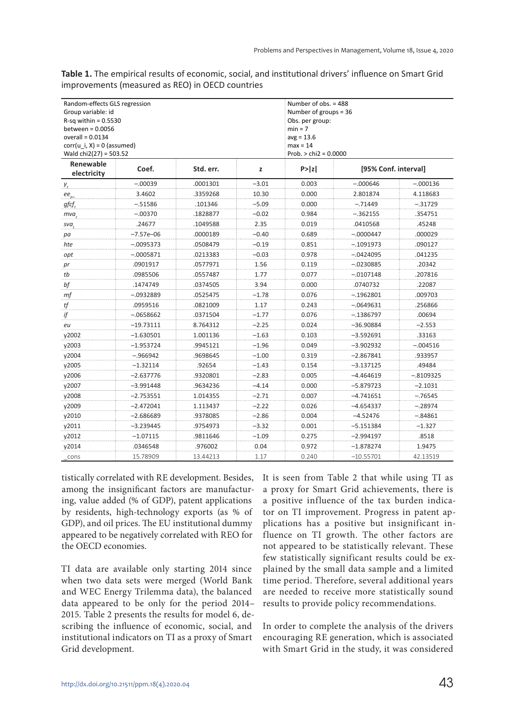| Table 1. The empirical results of economic, social, and institutional drivers' influence on Smart Grid |  |
|--------------------------------------------------------------------------------------------------------|--|
| improvements (measured as REO) in OECD countries                                                       |  |

| Random-effects GLS regression<br>Group variable: id<br>$R$ -sq within = 0.5530<br>between = $0.0056$<br>overall = $0.0134$<br>$corr(u i, X) = 0$ (assumed)<br>Wald chi2(27) = 503.52 |               |           |         | Number of obs. = 488<br>Number of groups = $36$<br>Obs. per group:<br>$min = 7$<br>$avg = 13.6$<br>$max = 14$<br>Prob. $>$ chi2 = 0.0000 |                      |             |  |
|--------------------------------------------------------------------------------------------------------------------------------------------------------------------------------------|---------------|-----------|---------|------------------------------------------------------------------------------------------------------------------------------------------|----------------------|-------------|--|
| Renewable<br>electricity                                                                                                                                                             | Coef.         | Std. err. | z       | P >  z                                                                                                                                   | [95% Conf. interval] |             |  |
| $y_{t}$                                                                                                                                                                              | $-.00039$     | .0001301  | $-3.01$ | 0.003                                                                                                                                    | $-.000646$           | $-.000136$  |  |
| $ee_{\sim}$                                                                                                                                                                          | 3.4602        | .3359268  | 10.30   | 0.000                                                                                                                                    | 2.801874             | 4.118683    |  |
| gfcf,                                                                                                                                                                                | $-.51586$     | .101346   | $-5.09$ | 0.000                                                                                                                                    | $-.71449$            | $-.31729$   |  |
| mva                                                                                                                                                                                  | $-.00370$     | .1828877  | $-0.02$ | 0.984                                                                                                                                    | $-.362155$           | .354751     |  |
| sva.                                                                                                                                                                                 | .24677        | .1049588  | 2.35    | 0.019                                                                                                                                    | .0410568             | .45248      |  |
| pa                                                                                                                                                                                   | $-7.57e - 06$ | .0000189  | $-0.40$ | 0.689                                                                                                                                    | $-.0000447$          | .000029     |  |
| hte                                                                                                                                                                                  | $-.0095373$   | .0508479  | $-0.19$ | 0.851                                                                                                                                    | $-.1091973$          | .090127     |  |
| opt                                                                                                                                                                                  | $-.0005871$   | .0213383  | $-0.03$ | 0.978                                                                                                                                    | $-.0424095$          | .041235     |  |
| $\mathit{pr}$                                                                                                                                                                        | .0901917      | .0577971  | 1.56    | 0.119                                                                                                                                    | $-.0230885$          | .20342      |  |
| tb                                                                                                                                                                                   | .0985506      | .0557487  | 1.77    | 0.077                                                                                                                                    | -.0107148            | .207816     |  |
| bf                                                                                                                                                                                   | .1474749      | .0374505  | 3.94    | 0.000                                                                                                                                    | .0740732             | .22087      |  |
| mf                                                                                                                                                                                   | -.0932889     | .0525475  | $-1.78$ | 0.076                                                                                                                                    | $-.1962801$          | .009703     |  |
| tf                                                                                                                                                                                   | .0959516      | .0821009  | 1.17    | 0.243                                                                                                                                    | -.0649631            | .256866     |  |
| ijf                                                                                                                                                                                  | $-.0658662$   | .0371504  | $-1.77$ | 0.076                                                                                                                                    | $-.1386797$          | 00694       |  |
| eu                                                                                                                                                                                   | –19.73111     | 8.764312  | -2.25   | 0.024                                                                                                                                    | –36.90884            | -2.553      |  |
| y2002                                                                                                                                                                                | –1.630501     | 1.001136  | $-1.63$ | 0.103                                                                                                                                    | -3.592691            | .33163      |  |
| y2003                                                                                                                                                                                | $-1.953724$   | .9945121  | -1.96   | 0.049                                                                                                                                    | -3.902932            | -.004516    |  |
| y2004                                                                                                                                                                                | $-.966942$    | .9698645  | $-1.00$ | 0.319                                                                                                                                    | $-2.867841$          | .933957     |  |
| y2005                                                                                                                                                                                | $-1.32114$    | .92654    | $-1.43$ | 0.154                                                                                                                                    | $-3.137125$          | .49484      |  |
| y2006                                                                                                                                                                                | $-2.637776$   | .9320801  | $-2.83$ | 0.005                                                                                                                                    | $-4.464619$          | $-.8109325$ |  |
| y2007                                                                                                                                                                                | $-3.991448$   | .9634236  | $-4.14$ | 0.000                                                                                                                                    | $-5.879723$          | $-2.1031$   |  |
| y2008                                                                                                                                                                                | $-2.753551$   | 1.014355  | $-2.71$ | 0.007                                                                                                                                    | $-4.741651$          | $-.76545$   |  |
| v2009                                                                                                                                                                                | $-2.472041$   | 1.113437  | $-2.22$ | 0.026                                                                                                                                    | $-4.654337$          | $-.28974$   |  |
| v2010                                                                                                                                                                                | $-2.686689$   | .9378085  | $-2.86$ | 0.004                                                                                                                                    | $-4.52476$           | $-.84861$   |  |
| y2011                                                                                                                                                                                | $-3.239445$   | .9754973  | -3.32   | 0.001                                                                                                                                    | -5.151384            | $-1.327$    |  |
| y2012                                                                                                                                                                                | –1.07115      | .9811646  | $-1.09$ | 0.275                                                                                                                                    | –2.994197            | .8518       |  |
| y2014                                                                                                                                                                                | .0346548      | .976002   | 0.04    | 0.972                                                                                                                                    | –1.878274            | 1.9475      |  |
| cons                                                                                                                                                                                 | 15.78909      | 13.44213  | 1.17    | 0.240                                                                                                                                    | $-10.55701$          | 42.13519    |  |

tistically correlated with RE development. Besides, among the insignificant factors are manufacturing, value added (% of GDP), patent applications by residents, high-technology exports (as % of GDP), and oil prices. The EU institutional dummy appeared to be negatively correlated with REO for the OECD economies.

TI data are available only starting 2014 since when two data sets were merged (World Bank and WEC Energy Trilemma data), the balanced data appeared to be only for the period 2014– 2015. Table 2 presents the results for model 6, describing the influence of economic, social, and institutional indicators on TI as a proxy of Smart Grid development.

It is seen from Table 2 that while using TI as a proxy for Smart Grid achievements, there is a positive influence of the tax burden indicator on TI improvement. Progress in patent applications has a positive but insignificant influence on TI growth. The other factors are not appeared to be statistically relevant. These few statistically significant results could be explained by the small data sample and a limited time period. Therefore, several additional years are needed to receive more statistically sound results to provide policy recommendations.

In order to complete the analysis of the drivers encouraging RE generation, which is associated with Smart Grid in the study, it was considered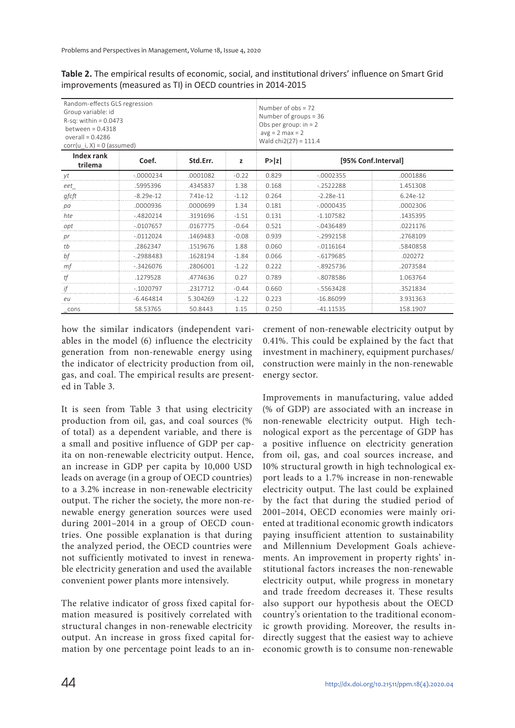| Table 2. The empirical results of economic, social, and institutional drivers' influence on Smart Grid |  |
|--------------------------------------------------------------------------------------------------------|--|
| improvements (measured as TI) in OECD countries in 2014-2015                                           |  |

| Random-effects GLS regression<br>Group variable: id<br>$R-sq$ : within = 0.0473<br>between = $0.4318$<br>overall = $0.4286$<br>$corr(u_i, X) = 0$ (assumed) |                                   |          | Number of $obs = 72$<br>Number of groups = 36<br>Obs per group: $in = 2$<br>$avg = 2 max = 2$<br>Wald chi2(27) = $111.4$ |       |              |                     |  |
|-------------------------------------------------------------------------------------------------------------------------------------------------------------|-----------------------------------|----------|--------------------------------------------------------------------------------------------------------------------------|-------|--------------|---------------------|--|
| Index rank<br>trilema                                                                                                                                       | Coef.<br>Std.Err.<br>P >  z <br>z |          |                                                                                                                          |       |              | [95% Conf.Interval] |  |
| уt                                                                                                                                                          | $-.0000234$                       | .0001082 | $-0.22$                                                                                                                  | 0.829 | $-0002355$   | .0001886            |  |
| eet                                                                                                                                                         | .5995396                          | .4345837 | 1.38                                                                                                                     | 0.168 | $-2522288$   | 1.451308            |  |
| gfcft                                                                                                                                                       | $-8.29e-12$                       | 7.41e-12 | $-1.12$                                                                                                                  | 0.264 | $-2,28e-11$  | 6.24e-12            |  |
| рa                                                                                                                                                          | .0000936                          | .0000699 | 1.34                                                                                                                     | 0.181 | $-.0000435$  | .0002306            |  |
| hte                                                                                                                                                         | $-4820214$                        | .3191696 | $-1.51$                                                                                                                  | 0.131 | $-1.107582$  | .1435395            |  |
| opt                                                                                                                                                         | $-0.0107657$                      | .0167775 | $-0.64$                                                                                                                  | 0.521 | $-0436489$   | .0221176            |  |
| pr                                                                                                                                                          | $-0112024$                        | .1469483 | $-0.08$                                                                                                                  | 0.939 | $-2992158$   | .2768109            |  |
| tb                                                                                                                                                          | .2862347                          | .1519676 | 1.88                                                                                                                     | 0.060 | $-0.0116164$ | .5840858            |  |
| bf                                                                                                                                                          | $-2988483$                        | .1628194 | $-1.84$                                                                                                                  | 0.066 | $-0.6179685$ | .020272             |  |
| mf                                                                                                                                                          | $-3426076$                        | .2806001 | $-1.22$                                                                                                                  | 0.222 | $-8925736$   | .2073584            |  |
| tf                                                                                                                                                          | 1279528                           | .4774636 | 0.27                                                                                                                     | 0.789 | -8078586     | 1.063764            |  |
| if                                                                                                                                                          | $-1020797$                        | .2317712 | $-0.44$                                                                                                                  | 0.660 | $-5563428$   | 3521834             |  |
| eu                                                                                                                                                          | $-6.464814$                       | 5.304269 | $-1.22$                                                                                                                  | 0.223 | $-16.86099$  | 3.931363            |  |
| cons                                                                                                                                                        | 58.53765                          | 50.8443  | 1.15                                                                                                                     | 0.250 | -41.11535    | 158.1907            |  |

how the similar indicators (independent variables in the model (6) influence the electricity generation from non-renewable energy using the indicator of electricity production from oil, gas, and coal. The empirical results are presented in Table 3.

It is seen from Table 3 that using electricity production from oil, gas, and coal sources (% of total) as a dependent variable, and there is a small and positive influence of GDP per capita on non-renewable electricity output. Hence, an increase in GDP per capita by 10,000 USD leads on average (in a group of OECD countries) to a 3.2% increase in non-renewable electricity output. The richer the society, the more non-renewable energy generation sources were used during 2001–2014 in a group of OECD countries. One possible explanation is that during the analyzed period, the OECD countries were not sufficiently motivated to invest in renewable electricity generation and used the available convenient power plants more intensively.

The relative indicator of gross fixed capital formation measured is positively correlated with structural changes in non-renewable electricity output. An increase in gross fixed capital formation by one percentage point leads to an increment of non-renewable electricity output by 0.41%. This could be explained by the fact that investment in machinery, equipment purchases/ construction were mainly in the non-renewable energy sector.

Improvements in manufacturing, value added (% of GDP) are associated with an increase in non-renewable electricity output. High technological export as the percentage of GDP has a positive influence on electricity generation from oil, gas, and coal sources increase, and 10% structural growth in high technological export leads to a 1.7% increase in non-renewable electricity output. The last could be explained by the fact that during the studied period of 2001–2014, OECD economies were mainly oriented at traditional economic growth indicators paying insufficient attention to sustainability and Millennium Development Goals achievements. An improvement in property rights' institutional factors increases the non-renewable electricity output, while progress in monetary and trade freedom decreases it. These results also support our hypothesis about the OECD country's orientation to the traditional economic growth providing. Moreover, the results indirectly suggest that the easiest way to achieve economic growth is to consume non-renewable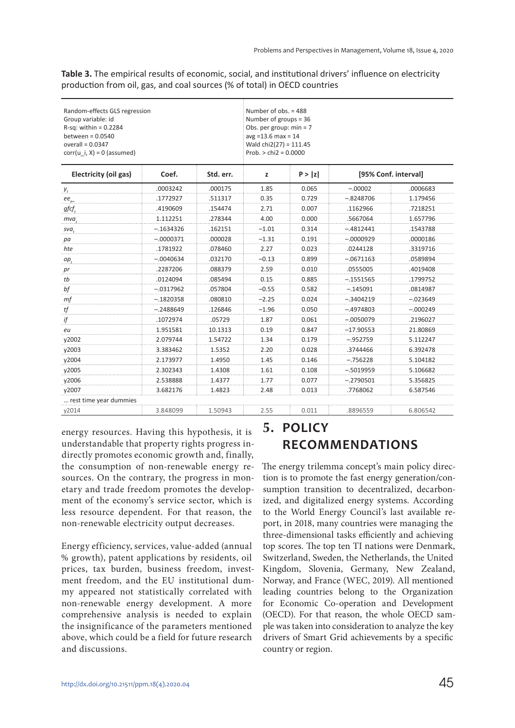**Table 3.** The empirical results of economic, social, and institutional drivers' influence on electricity production from oil, gas, and coal sources (% of total) in OECD countries

| Random-effects GLS regression<br>Group variable: id<br>$R-sq$ : within = 0.2284<br>between = $0.0540$<br>overall = $0.0347$<br>$corr(u i, X) = 0$ (assumed) |             |           | Number of obs. = 488<br>Number of groups $=$ 36<br>Obs. per group: $min = 7$<br>$avg = 13.6$ max = 14<br>Wald $chi(27) = 111.45$<br>$Prob. > chi2 = 0.0000$ |        |                      |            |
|-------------------------------------------------------------------------------------------------------------------------------------------------------------|-------------|-----------|-------------------------------------------------------------------------------------------------------------------------------------------------------------|--------|----------------------|------------|
| Electricity (oil gas)                                                                                                                                       | Coef.       | Std. err. | z                                                                                                                                                           | P >  z | [95% Conf. interval] |            |
| $V_t$                                                                                                                                                       | .0003242    | .000175   | 1.85                                                                                                                                                        | 0.065  | $-.00002$            | .0006683   |
| ee,                                                                                                                                                         | .1772927    | .511317   | 0.35                                                                                                                                                        | 0.729  | –.8248706            | 1.179456   |
| gfcf                                                                                                                                                        | .4190609    | .154474   | 2.71                                                                                                                                                        | 0.007  | .1162966             | .7218251   |
| mva                                                                                                                                                         | 1.112251    | .278344   | 4.00                                                                                                                                                        | 0.000  | .5667064             | 1.657796   |
| sva.                                                                                                                                                        | -.1634326   | .162151   | $-1.01$                                                                                                                                                     | 0.314  | $-.4812441$          | .1543788   |
| pa                                                                                                                                                          | $-.0000371$ | .000028   | $-1.31$                                                                                                                                                     | 0.191  | $-.0000929$          | .0000186   |
| hte                                                                                                                                                         | .1781922    | .078460   | 2.27                                                                                                                                                        | 0.023  | .0244128             | .3319716   |
| $op_{t}$                                                                                                                                                    | $-.0040634$ | .032170   | $-0.13$                                                                                                                                                     | 0.899  | $-.0671163$          | .0589894   |
| pr                                                                                                                                                          | .2287206    | .088379   | 2.59                                                                                                                                                        | 0.010  | .0555005             | .4019408   |
| tb                                                                                                                                                          | .0124094    | .085494   | 0.15                                                                                                                                                        | 0.885  | $-.1551565$          | .1799752   |
| bf                                                                                                                                                          | $-.0317962$ | .057804   | $-0.55$                                                                                                                                                     | 0.582  | $-.145091$           | .0814987   |
| mf                                                                                                                                                          | $-.1820358$ | .080810   | $-2.25$                                                                                                                                                     | 0.024  | $-.3404219$          | $-.023649$ |
| tf                                                                                                                                                          | $-.2488649$ | .126846   | $-1.96$                                                                                                                                                     | 0.050  | -.4974803            | -.000249   |
| ijf                                                                                                                                                         | .1072974    | .05729    | 1.87                                                                                                                                                        | 0.061  | $-.0050079$          | .2196027   |
| eu                                                                                                                                                          | 1.951581    | 10.1313   | 0.19                                                                                                                                                        | 0.847  | $-17.90553$          | 21.80869   |
| y2002                                                                                                                                                       | 2.079744    | 1.54722   | 1.34                                                                                                                                                        | 0.179  | -.952759             | 5.112247   |
| y2003                                                                                                                                                       | 3.383462    | 1.5352    | 2.20                                                                                                                                                        | 0.028  | .3744466             | 6.392478   |
| y2004                                                                                                                                                       | 2.173977    | 1.4950    | 1.45                                                                                                                                                        | 0.146  | $-.756228$           | 5.104182   |
| y2005                                                                                                                                                       | 2.302343    | 1.4308    | 1.61                                                                                                                                                        | 0.108  | $-.5019959$          | 5.106682   |
| v2006                                                                                                                                                       | 2.538888    | 1.4377    | 1.77                                                                                                                                                        | 0.077  | $-.2790501$          | 5.356825   |
| y2007                                                                                                                                                       | 3.682176    | 1.4823    | 2.48                                                                                                                                                        | 0.013  | .7768062             | 6.587546   |
| rest time year dummies                                                                                                                                      |             |           |                                                                                                                                                             |        |                      |            |
| y2014                                                                                                                                                       | 3.848099    | 1.50943   | 2.55                                                                                                                                                        | 0.011  | .8896559             | 6.806542   |

energy resources. Having this hypothesis, it is understandable that property rights progress indirectly promotes economic growth and, finally, the consumption of non-renewable energy resources. On the contrary, the progress in monetary and trade freedom promotes the development of the economy's service sector, which is less resource dependent. For that reason, the non-renewable electricity output decreases.

Energy efficiency, services, value-added (annual % growth), patent applications by residents, oil prices, tax burden, business freedom, investment freedom, and the EU institutional dummy appeared not statistically correlated with non-renewable energy development. A more comprehensive analysis is needed to explain the insignificance of the parameters mentioned above, which could be a field for future research and discussions.

# **5. POLICY RECOMMENDATIONS**

The energy trilemma concept's main policy direction is to promote the fast energy generation/consumption transition to decentralized, decarbonized, and digitalized energy systems. According to the World Energy Council's last available report, in 2018, many countries were managing the three-dimensional tasks efficiently and achieving top scores. The top ten TI nations were Denmark, Switzerland, Sweden, the Netherlands, the United Kingdom, Slovenia, Germany, New Zealand, Norway, and France (WEC, 2019). All mentioned leading countries belong to the Organization for Economic Co-operation and Development (OECD). For that reason, the whole OECD sample was taken into consideration to analyze the key drivers of Smart Grid achievements by a specific country or region.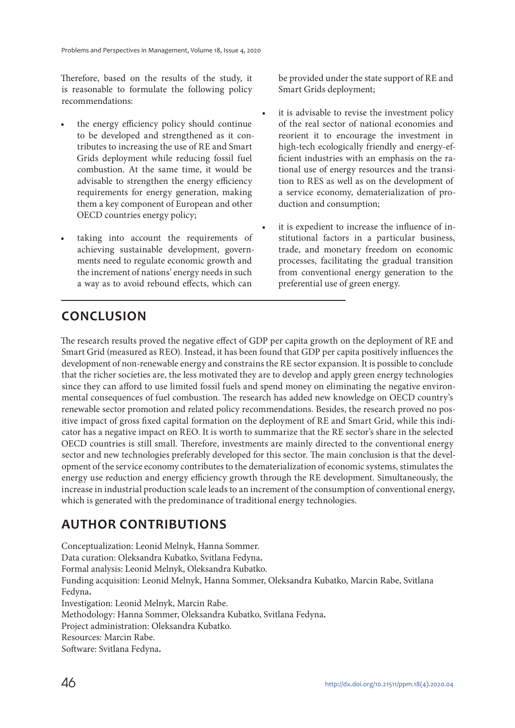Therefore, based on the results of the study, it is reasonable to formulate the following policy recommendations:

- the energy efficiency policy should continue to be developed and strengthened as it contributes to increasing the use of RE and Smart Grids deployment while reducing fossil fuel combustion. At the same time, it would be advisable to strengthen the energy efficiency requirements for energy generation, making them a key component of European and other OECD countries energy policy;
- taking into account the requirements of achieving sustainable development, governments need to regulate economic growth and the increment of nations' energy needs in such a way as to avoid rebound effects, which can

be provided under the state support of RE and Smart Grids deployment;

- it is advisable to revise the investment policy of the real sector of national economies and reorient it to encourage the investment in high-tech ecologically friendly and energy-efficient industries with an emphasis on the rational use of energy resources and the transition to RES as well as on the development of a service economy, dematerialization of production and consumption;
- it is expedient to increase the influence of institutional factors in a particular business, trade, and monetary freedom on economic processes, facilitating the gradual transition from conventional energy generation to the preferential use of green energy.

# **CONCLUSION**

The research results proved the negative effect of GDP per capita growth on the deployment of RE and Smart Grid (measured as REO). Instead, it has been found that GDP per capita positively influences the development of non-renewable energy and constrains the RE sector expansion. It is possible to conclude that the richer societies are, the less motivated they are to develop and apply green energy technologies since they can afford to use limited fossil fuels and spend money on eliminating the negative environmental consequences of fuel combustion. The research has added new knowledge on OECD country's renewable sector promotion and related policy recommendations. Besides, the research proved no positive impact of gross fixed capital formation on the deployment of RE and Smart Grid, while this indicator has a negative impact on REO. It is worth to summarize that the RE sector's share in the selected OECD countries is still small. Therefore, investments are mainly directed to the conventional energy sector and new technologies preferably developed for this sector. The main conclusion is that the development of the service economy contributes to the dematerialization of economic systems, stimulates the energy use reduction and energy efficiency growth through the RE development. Simultaneously, the increase in industrial production scale leads to an increment of the consumption of conventional energy, which is generated with the predominance of traditional energy technologies.

# **AUTHOR CONTRIBUTIONS**

Conceptualization: Leonid Melnyk, Hanna Sommer. Data curation: Oleksandra Kubatko, Svitlana Fedyna**.** Formal analysis: Leonid Melnyk, Oleksandra Kubatko. Funding acquisition: Leonid Melnyk, Hanna Sommer, Oleksandra Kubatko, Marcin Rabe, Svitlana Fedyna**.** Investigation: Leonid Melnyk, Marcin Rabe. Methodology: Hanna Sommer, Oleksandra Kubatko, Svitlana Fedyna**.** Project administration: Oleksandra Kubatko. Resources: Marcin Rabe. Software: Svitlana Fedyna**.**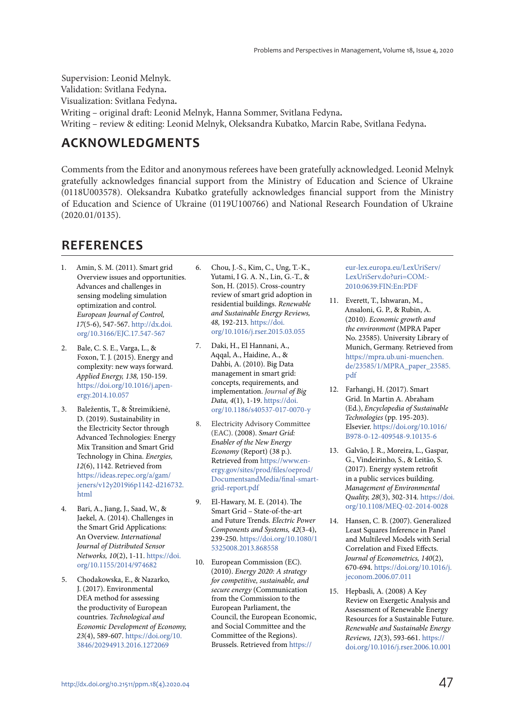Supervision: Leonid Melnyk. Validation: Svitlana Fedyna**.** Visualization: Svitlana Fedyna**.** Writing – original draft: Leonid Melnyk, Hanna Sommer, Svitlana Fedyna**.** Writing – review & editing: Leonid Melnyk, Oleksandra Kubatko, Marcin Rabe, Svitlana Fedyna**.**

#### **ACKNOWLEDGMENTS**

Comments from the Editor and anonymous referees have been gratefully acknowledged. Leonid Melnyk gratefully acknowledges financial support from the Ministry of Education and Science of Ukraine (0118U003578). Oleksandra Kubatko gratefully acknowledges financial support from the Ministry of Education and Science of Ukraine (0119U100766) and National Research Foundation of Ukraine (2020.01/0135).

#### **REFERENCES**

- 1. Amin, S. M. (2011). Smart grid Overview issues and opportunities. Advances and challenges in sensing modeling simulation optimization and control. European Journal of Control, 17(5-6), 547-567. http://dx.doi. org/10.3166/EJC.17.547-567
- 2. Bale, C. S. E., Varga, L., & Foxon, T. J. (2015). Energy and complexity: new ways forward. Applied Energy, 138, 150-159. https://doi.org/10.1016/j.apenergy.2014.10.057
- 3. Baležentis, T., & Štreimikienė, D. (2019). Sustainability in the Electricity Sector through Advanced Technologies: Energy Mix Transition and Smart Grid Technology in China. Energies, 12(6), 1142. Retrieved from https://ideas.repec.org/a/gam/ jeners/v12y2019i6p1142-d216732. html
- 4. Bari, A., Jiang, J., Saad, W., & Jaekel, A. (2014). Challenges in the Smart Grid Applications: An Overview. International Journal of Distributed Sensor Networks, 10(2), 1-11. https://doi. org/10.1155/2014/974682
- 5. Chodakowska, E., & Nazarko, J. (2017). Environmental DEA method for assessing the productivity of European countries. Technological and Economic Development of Economy, 23(4), 589-607. https://doi.org/10. 3846/20294913.2016.1272069
- 6. Chou, J.-S., Kim, C., Ung, T.-K., Yutami, I G. A. N., Lin, G.-T., & Son, H. (2015). Cross-country review of smart grid adoption in residential buildings. Renewable and Sustainable Energy Reviews, 48, 192-213. https://doi. org/10.1016/j.rser.2015.03.055
- 7. Daki, H., El Hannani, A., Aqqal, A., Haidine, A., & Dahbi, A. (2010). Big Data management in smart grid: concepts, requirements, and implementation. Journal of Big Data, 4(1), 1-19. https://doi. org/10.1186/s40537-017-0070-y
- 8. Electricity Advisory Committee (EAC). (2008). Smart Grid: Enabler of the New Energy Economy (Report) (38 p.). Retrieved from https://www.energy.gov/sites/prod/files/oeprod/ DocumentsandMedia/final-smartgrid-report.pdf
- 9. El-Hawary, M. E. (2014). The Smart Grid – State-of-the-art and Future Trends. Electric Power Components and Systems, 42(3-4), 239-250. https://doi.org/10.1080/1 5325008.2013.868558
- 10. European Commission (EC). (2010). Energy 2020: A strategy for competitive, sustainable, and secure energy (Communication from the Commission to the European Parliament, the Council, the European Economic, and Social Committee and the Committee of the Regions). Brussels. Retrieved from https://

eur-lex.europa.eu/LexUriServ/ LexUriServ.do?uri=COM:- 2010:0639:FIN:En:PDF

- 11. Everett, T., Ishwaran, M., Ansaloni, G. P., & Rubin, A. (2010). Economic growth and the environment (MPRA Paper No. 23585). University Library of Munich, Germany. Retrieved from https://mpra.ub.uni-muenchen. de/23585/1/MPRA\_paper\_23585. pdf
- 12. Farhangi, H. (2017). Smart Grid. In Martin A. Abraham (Ed.), Encyclopedia of Sustainable Technologies (pp. 195-203). Elsevier. https://doi.org/10.1016/ B978-0-12-409548-9.10135-6
- 13. Galvão, J. R., Moreira, L., Gaspar, G., Vindeirinho, S., & Leitão, S. (2017). Energy system retrofit in a public services building. Management of Environmental Quality, 28(3), 302-314. https://doi. org/10.1108/MEQ-02-2014-0028
- 14. Hansen, C. B. (2007). Generalized Least Squares Inference in Panel and Multilevel Models with Serial Correlation and Fixed Effects. Journal of Econometrics, 140(2), 670-694. https://doi.org/10.1016/j. jeconom.2006.07.011
- 15. Hepbasli, A. (2008) A Key Review on Exergetic Analysis and Assessment of Renewable Energy Resources for a Sustainable Future. Renewable and Sustainable Energy Reviews, 12(3), 593-661. https:// doi.org/10.1016/j.rser.2006.10.001